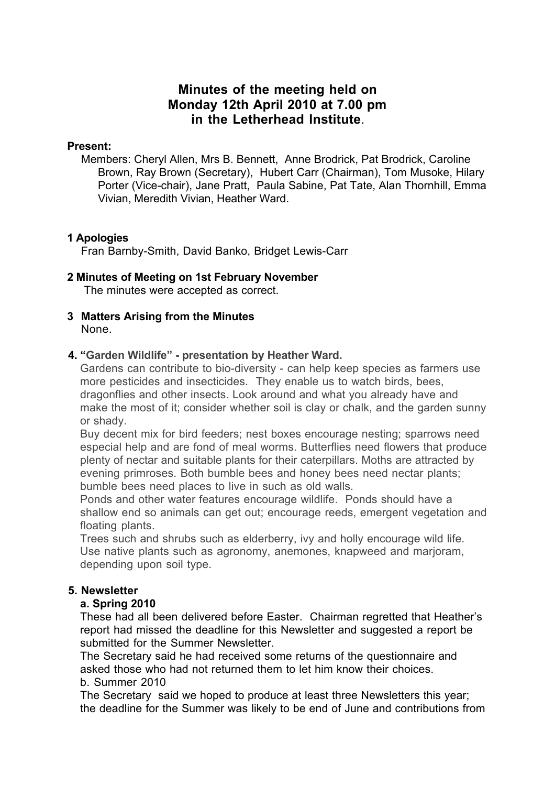# **Minutes of the meeting held on Monday 12th April 2010 at 7.00 pm in the Letherhead Institute**.

#### **Present:**

Members: Cheryl Allen, Mrs B. Bennett, Anne Brodrick, Pat Brodrick, Caroline Brown, Ray Brown (Secretary), Hubert Carr (Chairman), Tom Musoke, Hilary Porter (Vice-chair), Jane Pratt, Paula Sabine, Pat Tate, Alan Thornhill, Emma Vivian, Meredith Vivian, Heather Ward.

### **1 Apologies**

Fran Barnby-Smith, David Banko, Bridget Lewis-Carr

# **2 Minutes of Meeting on 1st February November**

The minutes were accepted as correct.

**3 Matters Arising from the Minutes** None.

### **4. "Garden Wildlife" - presentation by Heather Ward.**

Gardens can contribute to bio-diversity - can help keep species as farmers use more pesticides and insecticides. They enable us to watch birds, bees, dragonflies and other insects. Look around and what you already have and make the most of it; consider whether soil is clay or chalk, and the garden sunny or shady.

Buy decent mix for bird feeders; nest boxes encourage nesting; sparrows need especial help and are fond of meal worms. Butterflies need flowers that produce plenty of nectar and suitable plants for their caterpillars. Moths are attracted by evening primroses. Both bumble bees and honey bees need nectar plants; bumble bees need places to live in such as old walls.

Ponds and other water features encourage wildlife. Ponds should have a shallow end so animals can get out; encourage reeds, emergent vegetation and floating plants.

Trees such and shrubs such as elderberry, ivy and holly encourage wild life. Use native plants such as agronomy, anemones, knapweed and marjoram, depending upon soil type.

# **5. Newsletter**

# **a. Spring 2010**

These had all been delivered before Easter. Chairman regretted that Heather's report had missed the deadline for this Newsletter and suggested a report be submitted for the Summer Newsletter.

The Secretary said he had received some returns of the questionnaire and asked those who had not returned them to let him know their choices. b. Summer 2010

The Secretary said we hoped to produce at least three Newsletters this year; the deadline for the Summer was likely to be end of June and contributions from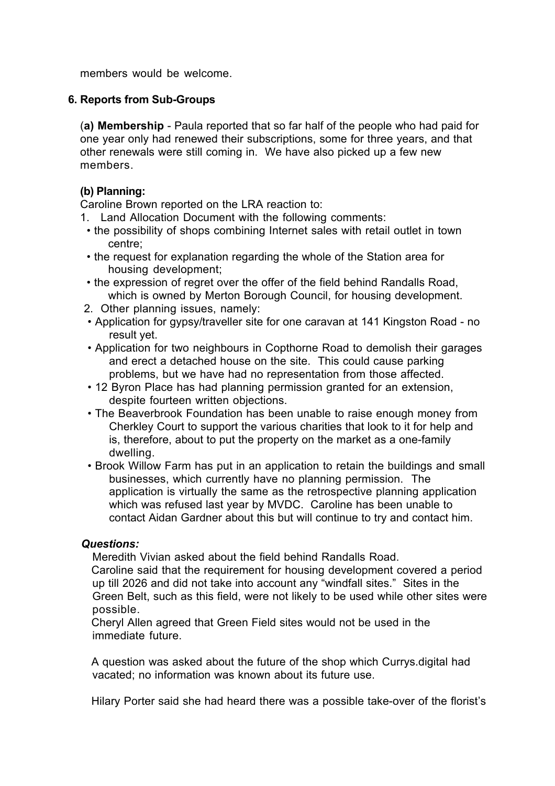members would be welcome.

#### **6. Reports from Sub-Groups**

(**a) Membership** - Paula reported that so far half of the people who had paid for one year only had renewed their subscriptions, some for three years, and that other renewals were still coming in. We have also picked up a few new members.

## **(b) Planning:**

Caroline Brown reported on the LRA reaction to:

- 1. Land Allocation Document with the following comments:
- the possibility of shops combining Internet sales with retail outlet in town centre;
- the request for explanation regarding the whole of the Station area for housing development;
- the expression of regret over the offer of the field behind Randalls Road, which is owned by Merton Borough Council, for housing development.
- 2. Other planning issues, namely:
- Application for gypsy/traveller site for one caravan at 141 Kingston Road no result yet.
- Application for two neighbours in Copthorne Road to demolish their garages and erect a detached house on the site. This could cause parking problems, but we have had no representation from those affected.
- 12 Byron Place has had planning permission granted for an extension, despite fourteen written objections.
- The Beaverbrook Foundation has been unable to raise enough money from Cherkley Court to support the various charities that look to it for help and is, therefore, about to put the property on the market as a one-family dwelling.
- Brook Willow Farm has put in an application to retain the buildings and small businesses, which currently have no planning permission. The application is virtually the same as the retrospective planning application which was refused last year by MVDC. Caroline has been unable to contact Aidan Gardner about this but will continue to try and contact him.

#### *Questions:*

Meredith Vivian asked about the field behind Randalls Road.

Caroline said that the requirement for housing development covered a period up till 2026 and did not take into account any "windfall sites." Sites in the Green Belt, such as this field, were not likely to be used while other sites were possible.

Cheryl Allen agreed that Green Field sites would not be used in the immediate future.

A question was asked about the future of the shop which Currys.digital had vacated; no information was known about its future use.

Hilary Porter said she had heard there was a possible take-over of the florist's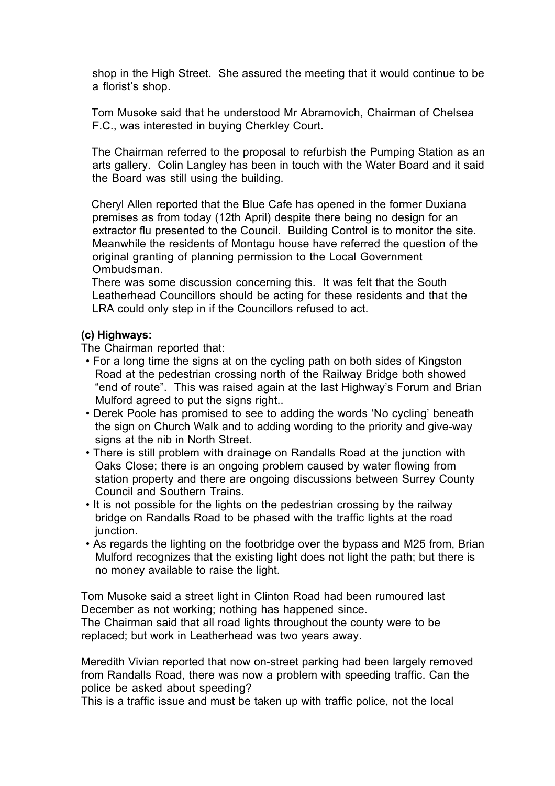shop in the High Street. She assured the meeting that it would continue to be a florist's shop.

Tom Musoke said that he understood Mr Abramovich, Chairman of Chelsea F.C., was interested in buying Cherkley Court.

The Chairman referred to the proposal to refurbish the Pumping Station as an arts gallery. Colin Langley has been in touch with the Water Board and it said the Board was still using the building.

Cheryl Allen reported that the Blue Cafe has opened in the former Duxiana premises as from today (12th April) despite there being no design for an extractor flu presented to the Council. Building Control is to monitor the site. Meanwhile the residents of Montagu house have referred the question of the original granting of planning permission to the Local Government Ombudsman.

There was some discussion concerning this. It was felt that the South Leatherhead Councillors should be acting for these residents and that the LRA could only step in if the Councillors refused to act.

#### **(c) Highways:**

The Chairman reported that:

- For a long time the signs at on the cycling path on both sides of Kingston Road at the pedestrian crossing north of the Railway Bridge both showed "end of route". This was raised again at the last Highway's Forum and Brian Mulford agreed to put the signs right..
- Derek Poole has promised to see to adding the words 'No cycling' beneath the sign on Church Walk and to adding wording to the priority and give-way signs at the nib in North Street.
- There is still problem with drainage on Randalls Road at the junction with Oaks Close; there is an ongoing problem caused by water flowing from station property and there are ongoing discussions between Surrey County Council and Southern Trains.
- It is not possible for the lights on the pedestrian crossing by the railway bridge on Randalls Road to be phased with the traffic lights at the road junction.
- As regards the lighting on the footbridge over the bypass and M25 from, Brian Mulford recognizes that the existing light does not light the path; but there is no money available to raise the light.

Tom Musoke said a street light in Clinton Road had been rumoured last December as not working; nothing has happened since.

The Chairman said that all road lights throughout the county were to be replaced; but work in Leatherhead was two years away.

Meredith Vivian reported that now on-street parking had been largely removed from Randalls Road, there was now a problem with speeding traffic. Can the police be asked about speeding?

This is a traffic issue and must be taken up with traffic police, not the local